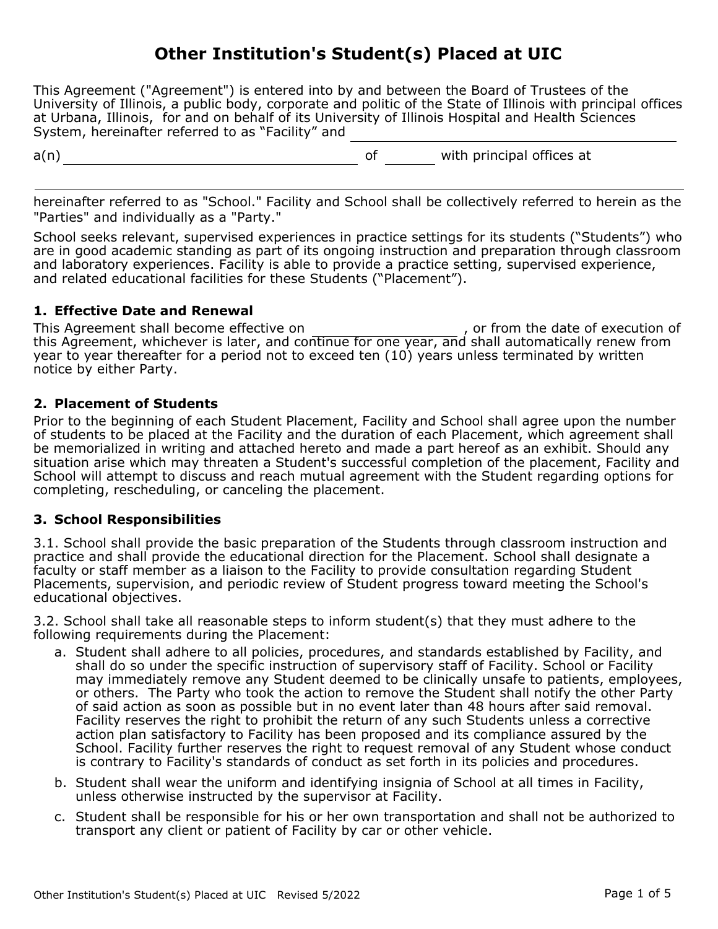# **Other Institution's Student(s) Placed at UIC**

This Agreement ("Agreement") is entered into by and between the Board of Trustees of the University of Illinois, a public body, corporate and politic of the State of Illinois with principal offices at Urbana, Illinois, for and on behalf of its University of Illinois Hospital and Health Sciences System, hereinafter referred to as "Facility" and

a(n) and a settled a settle of the with principal offices at a set of the with principal offices at

 $\overline{a}$ hereinafter referred to as "School." Facility and School shall be collectively referred to herein as the "Parties" and individually as a "Party."

School seeks relevant, supervised experiences in practice settings for its students ("Students") who are in good academic standing as part of its ongoing instruction and preparation through classroom and laboratory experiences. Facility is able to provide a practice setting, supervised experience, and related educational facilities for these Students ("Placement").

## **1. Effective Date and Renewal**

This Agreement shall become effective on  $\hspace{1cm}$ , or from the date of execution of this Agreement, whichever is later, and continue for one year, and shall automatically renew from year to year thereafter for a period not to exceed ten (10) years unless terminated by written notice by either Party.

## **2. Placement of Students**

Prior to the beginning of each Student Placement, Facility and School shall agree upon the number of students to be placed at the Facility and the duration of each Placement, which agreement shall be memorialized in writing and attached hereto and made a part hereof as an exhibit. Should any situation arise which may threaten a Student's successful completion of the placement, Facility and School will attempt to discuss and reach mutual agreement with the Student regarding options for completing, rescheduling, or canceling the placement.

### **3. School Responsibilities**

3.1. School shall provide the basic preparation of the Students through classroom instruction and practice and shall provide the educational direction for the Placement. School shall designate a faculty or staff member as a liaison to the Facility to provide consultation regarding Student Placements, supervision, and periodic review of Student progress toward meeting the School's educational objectives.

3.2. School shall take all reasonable steps to inform student(s) that they must adhere to the following requirements during the Placement:

- a. Student shall adhere to all policies, procedures, and standards established by Facility, and shall do so under the specific instruction of supervisory staff of Facility. School or Facility may immediately remove any Student deemed to be clinically unsafe to patients, employees, or others. The Party who took the action to remove the Student shall notify the other Party of said action as soon as possible but in no event later than 48 hours after said removal. Facility reserves the right to prohibit the return of any such Students unless a corrective action plan satisfactory to Facility has been proposed and its compliance assured by the School. Facility further reserves the right to request removal of any Student whose conduct is contrary to Facility's standards of conduct as set forth in its policies and procedures.
- b. Student shall wear the uniform and identifying insignia of School at all times in Facility, unless otherwise instructed by the supervisor at Facility.
- c. Student shall be responsible for his or her own transportation and shall not be authorized to transport any client or patient of Facility by car or other vehicle.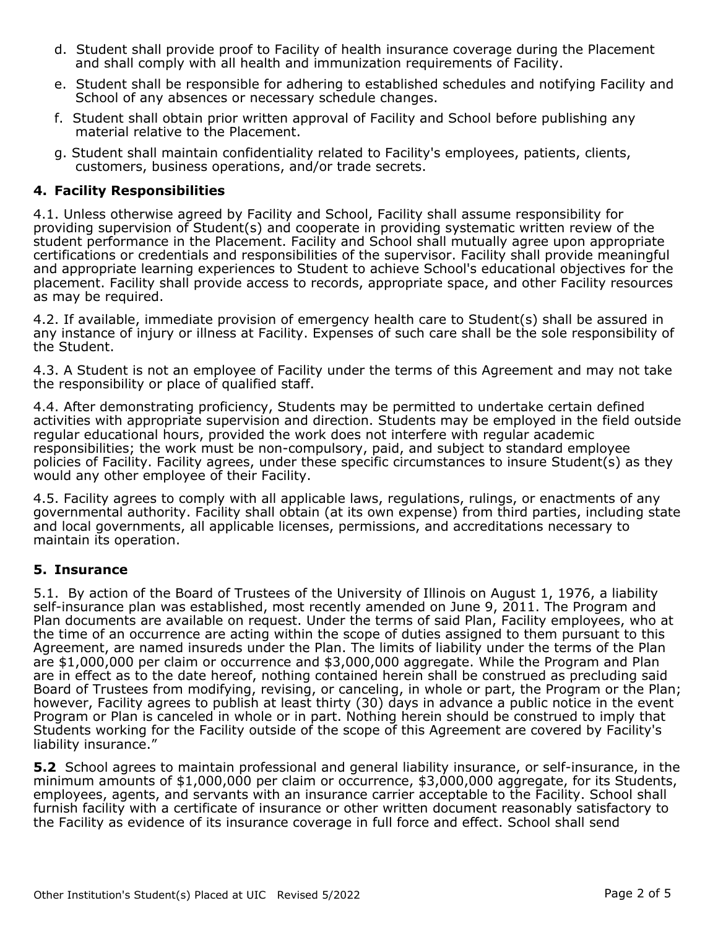- d. Student shall provide proof to Facility of health insurance coverage during the Placement and shall comply with all health and immunization requirements of Facility.
- e. Student shall be responsible for adhering to established schedules and notifying Facility and School of any absences or necessary schedule changes.
- f. Student shall obtain prior written approval of Facility and School before publishing any material relative to the Placement.
- g. Student shall maintain confidentiality related to Facility's employees, patients, clients, customers, business operations, and/or trade secrets.

## **4. Facility Responsibilities**

4.1. Unless otherwise agreed by Facility and School, Facility shall assume responsibility for providing supervision of Student(s) and cooperate in providing systematic written review of the student performance in the Placement. Facility and School shall mutually agree upon appropriate certifications or credentials and responsibilities of the supervisor. Facility shall provide meaningful and appropriate learning experiences to Student to achieve School's educational objectives for the placement. Facility shall provide access to records, appropriate space, and other Facility resources as may be required.

4.2. If available, immediate provision of emergency health care to Student(s) shall be assured in any instance of injury or illness at Facility. Expenses of such care shall be the sole responsibility of the Student.

4.3. A Student is not an employee of Facility under the terms of this Agreement and may not take the responsibility or place of qualified staff.

4.4. After demonstrating proficiency, Students may be permitted to undertake certain defined activities with appropriate supervision and direction. Students may be employed in the field outside regular educational hours, provided the work does not interfere with regular academic responsibilities; the work must be non-compulsory, paid, and subject to standard employee policies of Facility. Facility agrees, under these specific circumstances to insure Student(s) as they would any other employee of their Facility.

4.5. Facility agrees to comply with all applicable laws, regulations, rulings, or enactments of any governmental authority. Facility shall obtain (at its own expense) from third parties, including state and local governments, all applicable licenses, permissions, and accreditations necessary to maintain its operation.

## **5. Insurance**

5.1. By action of the Board of Trustees of the University of Illinois on August 1, 1976, a liability self-insurance plan was established, most recently amended on June 9, 2011. The Program and Plan documents are available on request. Under the terms of said Plan, Facility employees, who at the time of an occurrence are acting within the scope of duties assigned to them pursuant to this Agreement, are named insureds under the Plan. The limits of liability under the terms of the Plan are \$1,000,000 per claim or occurrence and \$3,000,000 aggregate. While the Program and Plan are in effect as to the date hereof, nothing contained herein shall be construed as precluding said Board of Trustees from modifying, revising, or canceling, in whole or part, the Program or the Plan; however, Facility agrees to publish at least thirty (30) days in advance a public notice in the event Program or Plan is canceled in whole or in part. Nothing herein should be construed to imply that Students working for the Facility outside of the scope of this Agreement are covered by Facility's liability insurance."

**5.2** School agrees to maintain professional and general liability insurance, or self-insurance, in the minimum amounts of \$1,000,000 per claim or occurrence, \$3,000,000 aggregate, for its Students, employees, agents, and servants with an insurance carrier acceptable to the Facility. School shall furnish facility with a certificate of insurance or other written document reasonably satisfactory to the Facility as evidence of its insurance coverage in full force and effect. School shall send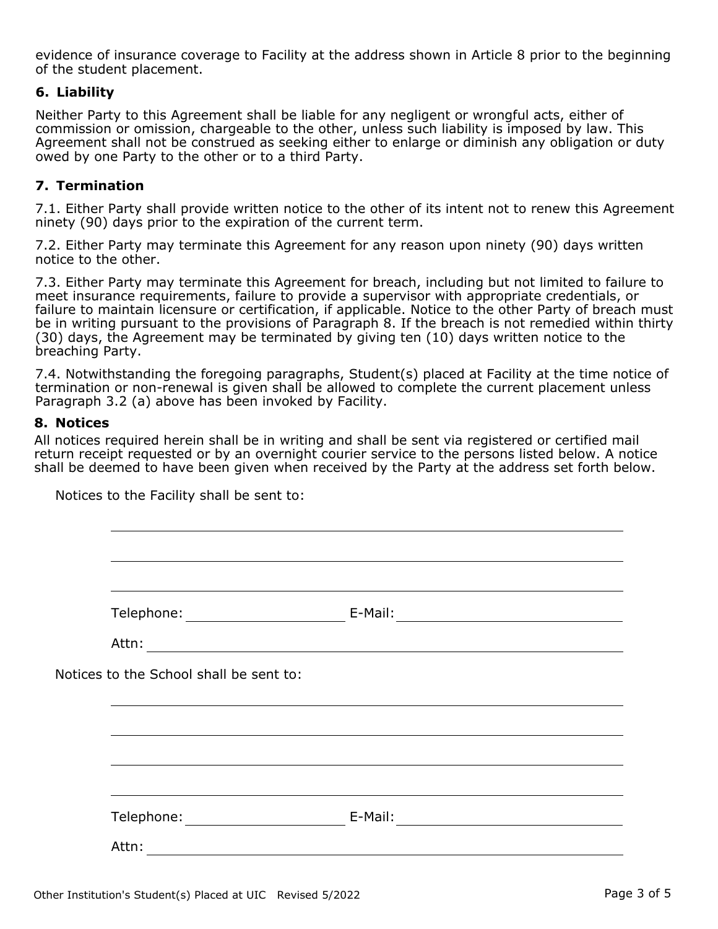evidence of insurance coverage to Facility at the address shown in Article 8 prior to the beginning of the student placement.

### **6. Liability**

Neither Party to this Agreement shall be liable for any negligent or wrongful acts, either of commission or omission, chargeable to the other, unless such liability is imposed by law. This Agreement shall not be construed as seeking either to enlarge or diminish any obligation or duty owed by one Party to the other or to a third Party.

## **7. Termination**

7.1. Either Party shall provide written notice to the other of its intent not to renew this Agreement ninety (90) days prior to the expiration of the current term.

7.2. Either Party may terminate this Agreement for any reason upon ninety (90) days written notice to the other.

7.3. Either Party may terminate this Agreement for breach, including but not limited to failure to meet insurance requirements, failure to provide a supervisor with appropriate credentials, or failure to maintain licensure or certification, if applicable. Notice to the other Party of breach must be in writing pursuant to the provisions of Paragraph 8. If the breach is not remedied within thirty (30) days, the Agreement may be terminated by giving ten (10) days written notice to the breaching Party.

7.4. Notwithstanding the foregoing paragraphs, Student(s) placed at Facility at the time notice of termination or non-renewal is given shall be allowed to complete the current placement unless Paragraph 3.2 (a) above has been invoked by Facility.

#### **8. Notices**

All notices required herein shall be in writing and shall be sent via registered or certified mail return receipt requested or by an overnight courier service to the persons listed below. A notice shall be deemed to have been given when received by the Party at the address set forth below.

Notices to the School shall be sent to: Attn: Telephone: E-Mail:Telephone: E-Mail: Attn:

Notices to the Facility shall be sent to: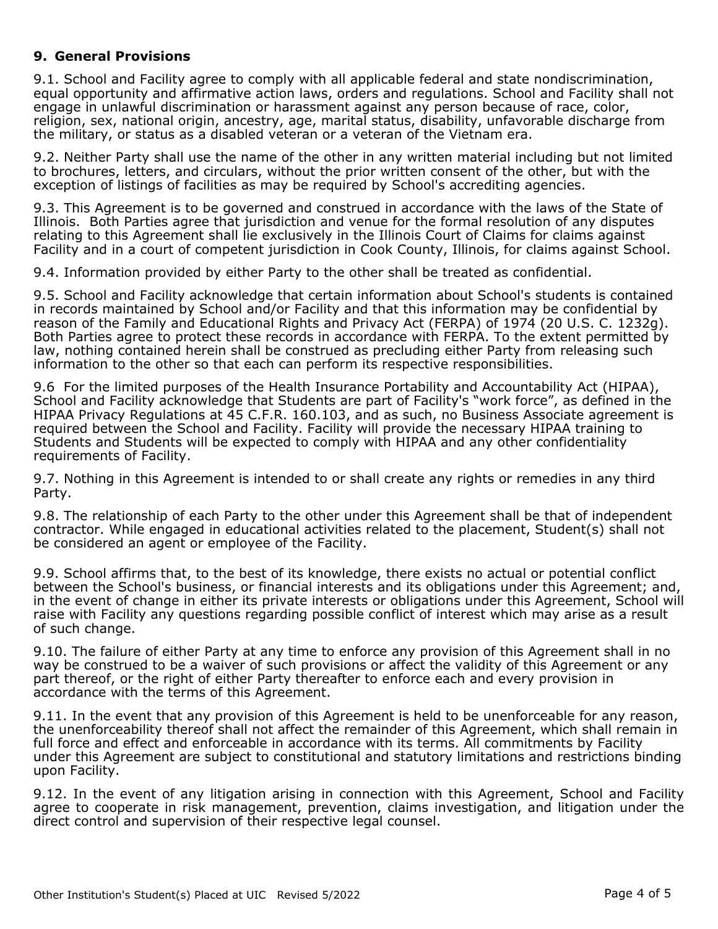## **9. General Provisions**

9.1. School and Facility agree to comply with all applicable federal and state nondiscrimination, equal opportunity and affirmative action laws, orders and regulations. School and Facility shall not engage in unlawful discrimination or harassment against any person because of race, color, religion, sex, national origin, ancestry, age, marital status, disability, unfavorable discharge from the military, or status as a disabled veteran or a veteran of the Vietnam era.

9.2. Neither Party shall use the name of the other in any written material including but not limited to brochures, letters, and circulars, without the prior written consent of the other, but with the exception of listings of facilities as may be required by School's accrediting agencies.

9.3. This Agreement is to be governed and construed in accordance with the laws of the State of Illinois. Both Parties agree that jurisdiction and venue for the formal resolution of any disputes relating to this Agreement shall lie exclusively in the Illinois Court of Claims for claims against Facility and in a court of competent jurisdiction in Cook County, Illinois, for claims against School.

9.4. Information provided by either Party to the other shall be treated as confidential.

9.5. School and Facility acknowledge that certain information about School's students is contained in records maintained by School and/or Facility and that this information may be confidential by reason of the Family and Educational Rights and Privacy Act (FERPA) of 1974 (20 U.S. C. 1232g). Both Parties agree to protect these records in accordance with FERPA. To the extent permitted by law, nothing contained herein shall be construed as precluding either Party from releasing such information to the other so that each can perform its respective responsibilities.

9.6 For the limited purposes of the Health Insurance Portability and Accountability Act (HIPAA), School and Facility acknowledge that Students are part of Facility's "work force", as defined in the HIPAA Privacy Regulations at 45 C.F.R. 160.103, and as such, no Business Associate agreement is required between the School and Facility. Facility will provide the necessary HIPAA training to Students and Students will be expected to comply with HIPAA and any other confidentiality requirements of Facility.

9.7. Nothing in this Agreement is intended to or shall create any rights or remedies in any third Party.

9.8. The relationship of each Party to the other under this Agreement shall be that of independent contractor. While engaged in educational activities related to the placement, Student(s) shall not be considered an agent or employee of the Facility.

9.9. School affirms that, to the best of its knowledge, there exists no actual or potential conflict between the School's business, or financial interests and its obligations under this Agreement; and, in the event of change in either its private interests or obligations under this Agreement, School will raise with Facility any questions regarding possible conflict of interest which may arise as a result of such change.

9.10. The failure of either Party at any time to enforce any provision of this Agreement shall in no way be construed to be a waiver of such provisions or affect the validity of this Agreement or any part thereof, or the right of either Party thereafter to enforce each and every provision in accordance with the terms of this Agreement.

9.11. In the event that any provision of this Agreement is held to be unenforceable for any reason, the unenforceability thereof shall not affect the remainder of this Agreement, which shall remain in full force and effect and enforceable in accordance with its terms. All commitments by Facility under this Agreement are subject to constitutional and statutory limitations and restrictions binding upon Facility.

9.12. In the event of any litigation arising in connection with this Agreement, School and Facility agree to cooperate in risk management, prevention, claims investigation, and litigation under the direct control and supervision of their respective legal counsel.